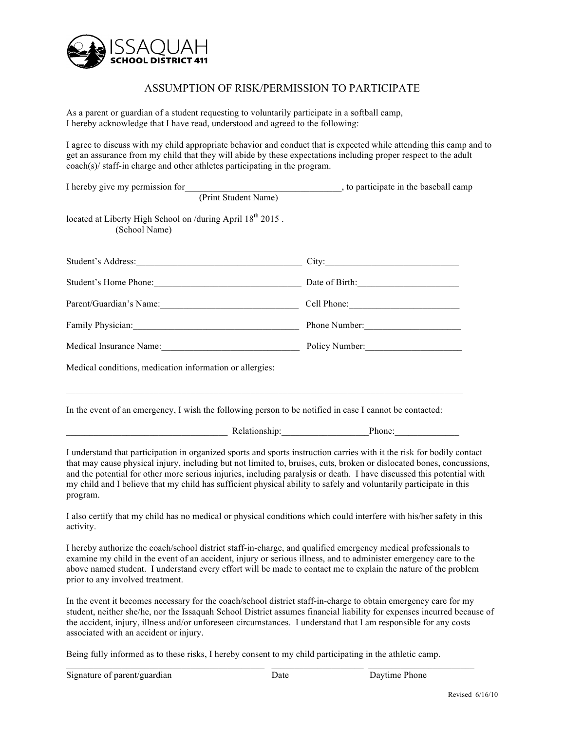

## ASSUMPTION OF RISK/PERMISSION TO PARTICIPATE

As a parent or guardian of a student requesting to voluntarily participate in a softball camp, I hereby acknowledge that I have read, understood and agreed to the following:

I agree to discuss with my child appropriate behavior and conduct that is expected while attending this camp and to get an assurance from my child that they will abide by these expectations including proper respect to the adult coach(s)/ staff-in charge and other athletes participating in the program.

| I hereby give my permission for                                                                                                                                                                                                                                                                                                                                                                                                                                                                            | to participate in the baseball camp |
|------------------------------------------------------------------------------------------------------------------------------------------------------------------------------------------------------------------------------------------------------------------------------------------------------------------------------------------------------------------------------------------------------------------------------------------------------------------------------------------------------------|-------------------------------------|
| (Print Student Name)                                                                                                                                                                                                                                                                                                                                                                                                                                                                                       |                                     |
| located at Liberty High School on /during April 18 <sup>th</sup> 2015.<br>(School Name)                                                                                                                                                                                                                                                                                                                                                                                                                    |                                     |
| Student's Address: City: City:                                                                                                                                                                                                                                                                                                                                                                                                                                                                             |                                     |
| Student's Home Phone: Date of Birth: Date of Birth:                                                                                                                                                                                                                                                                                                                                                                                                                                                        |                                     |
| Parent/Guardian's Name: Cell Phone: Cell Phone:                                                                                                                                                                                                                                                                                                                                                                                                                                                            |                                     |
| Family Physician: Phone Number: Phone Number:                                                                                                                                                                                                                                                                                                                                                                                                                                                              |                                     |
| Medical Insurance Name: 1990 Manual Policy Number: 2008 Muncher 2009 Muncher 2009 Muncher 2009 Muncher 2009 Muncher                                                                                                                                                                                                                                                                                                                                                                                        |                                     |
| Medical conditions, medication information or allergies:<br>In the event of an emergency, I wish the following person to be notified in case I cannot be contacted:                                                                                                                                                                                                                                                                                                                                        |                                     |
| Phone: Phone: Phone: Phone: Phone: Phone: Phone: Phone: Phone: Phone: Phone: Phone: Phone: Phone: Phone: Phone: Phone: Phone: Phone: Phone: Phone: Phone: Phone: Phone: Phone: Phone: Phone: Phone: Phone: Phone: Phone: Phone                                                                                                                                                                                                                                                                             |                                     |
| I understand that participation in organized sports and sports instruction carries with it the risk for bodily contact<br>that may cause physical injury, including but not limited to, bruises, cuts, broken or dislocated bones, concussions,<br>and the potential for other more serious injuries, including paralysis or death. I have discussed this potential with<br>my child and I believe that my child has sufficient physical ability to safely and voluntarily participate in this<br>program. |                                     |
| I also certify that my child has no medical or physical conditions which could interfere with his/her safety in this<br>activity.                                                                                                                                                                                                                                                                                                                                                                          |                                     |
| I hereby authorize the coach/school district staff-in-charge, and qualified emergency medical professionals to<br>examine my child in the event of an accident, injury or serious illness, and to administer emergency care to the<br>above named student. I understand every effort will be made to contact me to explain the nature of the problem<br>prior to any involved treatment.                                                                                                                   |                                     |

In the event it becomes necessary for the coach/school district staff-in-charge to obtain emergency care for my student, neither she/he, nor the Issaquah School District assumes financial liability for expenses incurred because of the accident, injury, illness and/or unforeseen circumstances. I understand that I am responsible for any costs associated with an accident or injury.

Being fully informed as to these risks, I hereby consent to my child participating in the athletic camp.